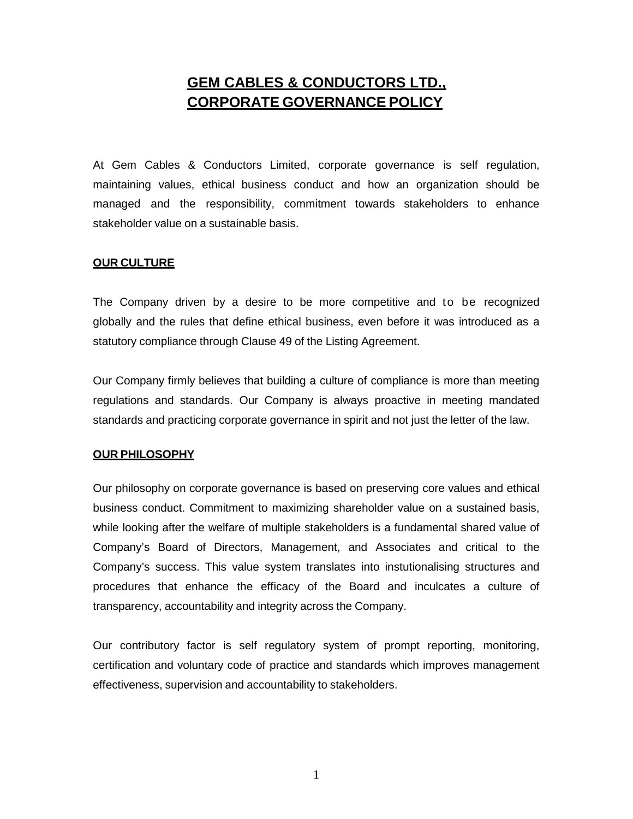# **GEM CABLES & CONDUCTORS LTD., CORPORATE GOVERNANCE POLICY**

At Gem Cables & Conductors Limited, corporate governance is self regulation, maintaining values, ethical business conduct and how an organization should be managed and the responsibility, commitment towards stakeholders to enhance stakeholder value on a sustainable basis.

#### **OUR CULTURE**

The Company driven by a desire to be more competitive and to be recognized globally and the rules that define ethical business, even before it was introduced as a statutory compliance through Clause 49 of the Listing Agreement.

Our Company firmly believes that building a culture of compliance is more than meeting regulations and standards. Our Company is always proactive in meeting mandated standards and practicing corporate governance in spirit and not just the letter of the law.

### **OUR PHILOSOPHY**

Our philosophy on corporate governance is based on preserving core values and ethical business conduct. Commitment to maximizing shareholder value on a sustained basis, while looking after the welfare of multiple stakeholders is a fundamental shared value of Company's Board of Directors, Management, and Associates and critical to the Company's success. This value system translates into instutionalising structures and procedures that enhance the efficacy of the Board and inculcates a culture of transparency, accountability and integrity across the Company.

Our contributory factor is self regulatory system of prompt reporting, monitoring, certification and voluntary code of practice and standards which improves management effectiveness, supervision and accountability to stakeholders.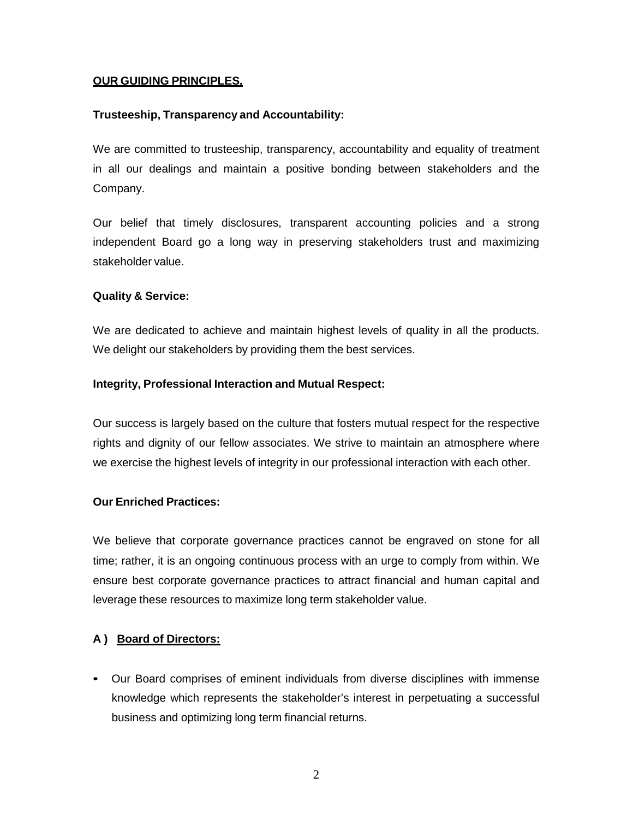# **OUR GUIDING PRINCIPLES.**

# **Trusteeship, Transparency and Accountability:**

We are committed to trusteeship, transparency, accountability and equality of treatment in all our dealings and maintain a positive bonding between stakeholders and the Company.

Our belief that timely disclosures, transparent accounting policies and a strong independent Board go a long way in preserving stakeholders trust and maximizing stakeholder value.

### **Quality & Service:**

We are dedicated to achieve and maintain highest levels of quality in all the products. We delight our stakeholders by providing them the best services.

# **Integrity, Professional Interaction and Mutual Respect:**

Our success is largely based on the culture that fosters mutual respect for the respective rights and dignity of our fellow associates. We strive to maintain an atmosphere where we exercise the highest levels of integrity in our professional interaction with each other.

### **Our Enriched Practices:**

We believe that corporate governance practices cannot be engraved on stone for all time; rather, it is an ongoing continuous process with an urge to comply from within. We ensure best corporate governance practices to attract financial and human capital and leverage these resources to maximize long term stakeholder value.

# **A ) Board of Directors:**

• Our Board comprises of eminent individuals from diverse disciplines with immense knowledge which represents the stakeholder's interest in perpetuating a successful business and optimizing long term financial returns.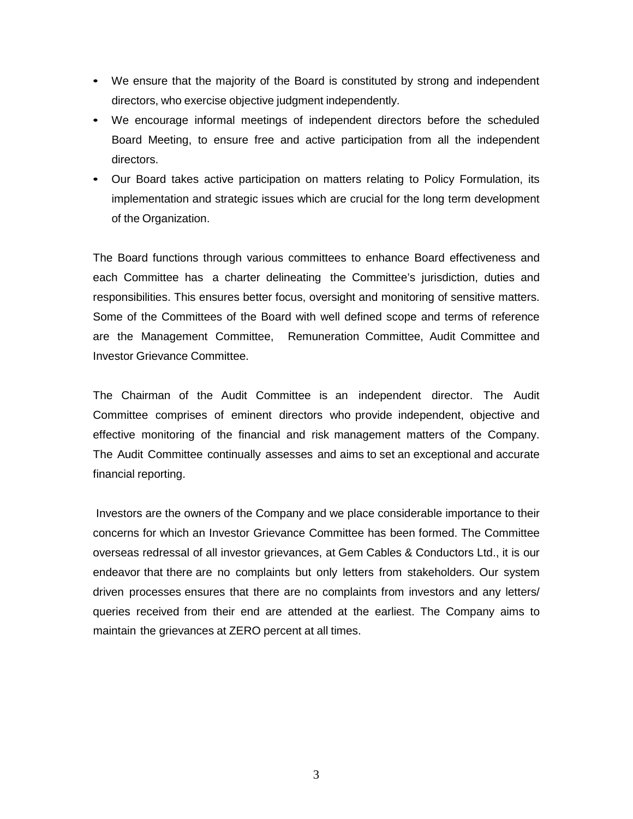- We ensure that the majority of the Board is constituted by strong and independent directors, who exercise objective judgment independently.
- We encourage informal meetings of independent directors before the scheduled Board Meeting, to ensure free and active participation from all the independent directors.
- Our Board takes active participation on matters relating to Policy Formulation, its implementation and strategic issues which are crucial for the long term development of the Organization.

The Board functions through various committees to enhance Board effectiveness and each Committee has a charter delineating the Committee's jurisdiction, duties and responsibilities. This ensures better focus, oversight and monitoring of sensitive matters. Some of the Committees of the Board with well defined scope and terms of reference are the Management Committee, Remuneration Committee, Audit Committee and Investor Grievance Committee.

The Chairman of the Audit Committee is an independent director. The Audit Committee comprises of eminent directors who provide independent, objective and effective monitoring of the financial and risk management matters of the Company. The Audit Committee continually assesses and aims to set an exceptional and accurate financial reporting.

Investors are the owners of the Company and we place considerable importance to their concerns for which an Investor Grievance Committee has been formed. The Committee overseas redressal of all investor grievances, at Gem Cables & Conductors Ltd., it is our endeavor that there are no complaints but only letters from stakeholders. Our system driven processes ensures that there are no complaints from investors and any letters/ queries received from their end are attended at the earliest. The Company aims to maintain the grievances at ZERO percent at all times.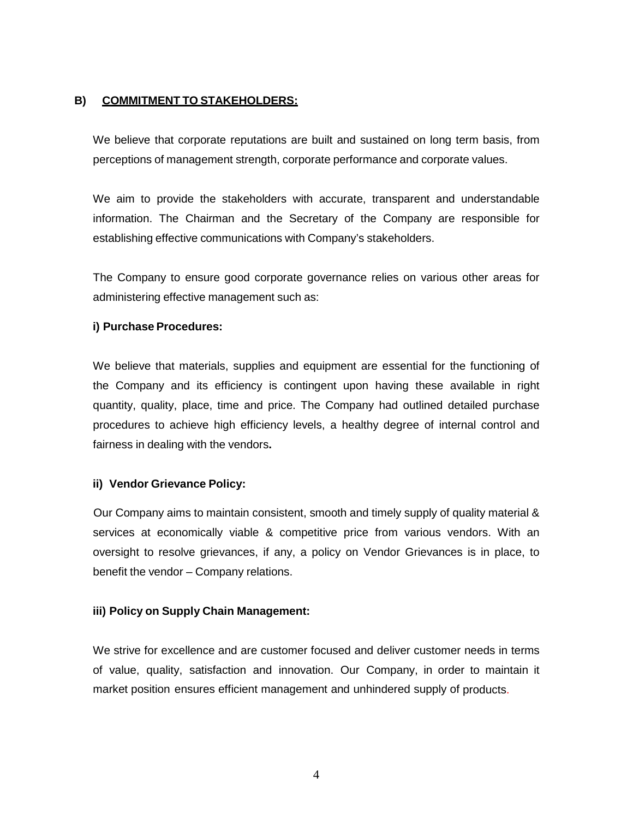# **B) COMMITMENT TO STAKEHOLDERS:**

We believe that corporate reputations are built and sustained on long term basis, from perceptions of management strength, corporate performance and corporate values.

We aim to provide the stakeholders with accurate, transparent and understandable information. The Chairman and the Secretary of the Company are responsible for establishing effective communications with Company's stakeholders.

The Company to ensure good corporate governance relies on various other areas for administering effective management such as:

### **i) Purchase Procedures:**

We believe that materials, supplies and equipment are essential for the functioning of the Company and its efficiency is contingent upon having these available in right quantity, quality, place, time and price. The Company had outlined detailed purchase procedures to achieve high efficiency levels, a healthy degree of internal control and fairness in dealing with the vendors**.**

### **ii) Vendor Grievance Policy:**

Our Company aims to maintain consistent, smooth and timely supply of quality material & services at economically viable & competitive price from various vendors. With an oversight to resolve grievances, if any, a policy on Vendor Grievances is in place, to benefit the vendor – Company relations.

### **iii) Policy on Supply Chain Management:**

We strive for excellence and are customer focused and deliver customer needs in terms of value, quality, satisfaction and innovation. Our Company, in order to maintain it market position ensures efficient management and unhindered supply of products.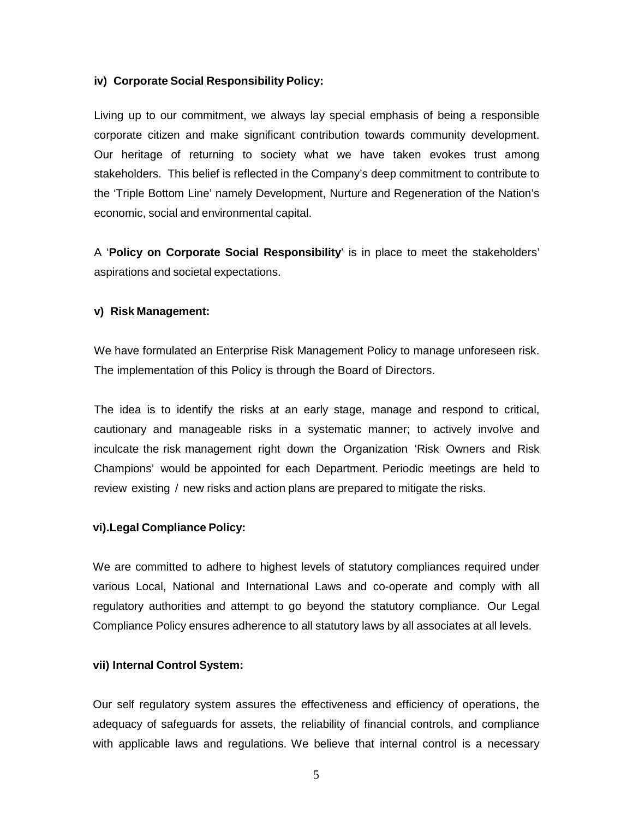#### **iv) Corporate Social Responsibility Policy:**

Living up to our commitment, we always lay special emphasis of being a responsible corporate citizen and make significant contribution towards community development. Our heritage of returning to society what we have taken evokes trust among stakeholders. This belief is reflected in the Company's deep commitment to contribute to the 'Triple Bottom Line' namely Development, Nurture and Regeneration of the Nation's economic, social and environmental capital.

A '**Policy on Corporate Social Responsibility**' is in place to meet the stakeholders' aspirations and societal expectations.

#### **v) Risk Management:**

We have formulated an Enterprise Risk Management Policy to manage unforeseen risk. The implementation of this Policy is through the Board of Directors.

The idea is to identify the risks at an early stage, manage and respond to critical, cautionary and manageable risks in a systematic manner; to actively involve and inculcate the risk management right down the Organization 'Risk Owners and Risk Champions' would be appointed for each Department. Periodic meetings are held to review existing / new risks and action plans are prepared to mitigate the risks.

### **vi).Legal Compliance Policy:**

We are committed to adhere to highest levels of statutory compliances required under various Local, National and International Laws and co-operate and comply with all regulatory authorities and attempt to go beyond the statutory compliance. Our Legal Compliance Policy ensures adherence to all statutory laws by all associates at all levels.

### **vii) Internal Control System:**

Our self regulatory system assures the effectiveness and efficiency of operations, the adequacy of safeguards for assets, the reliability of financial controls, and compliance with applicable laws and regulations. We believe that internal control is a necessary